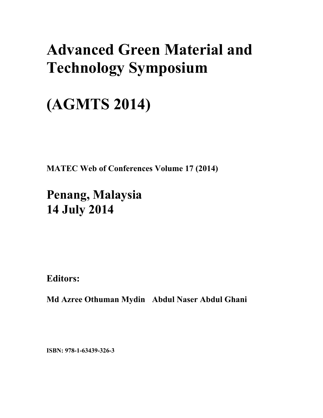## **Advanced Green Material and Technology Symposium**

# **(AGMTS 2014)**

**MATEC Web of Conferences Volume 17 (2014)** 

**Penang, Malaysia 14 July 2014**

**Editors:** 

**Md Azree Othuman Mydin Abdul Naser Abdul Ghani** 

**ISBN: 978-1-63439-326-3**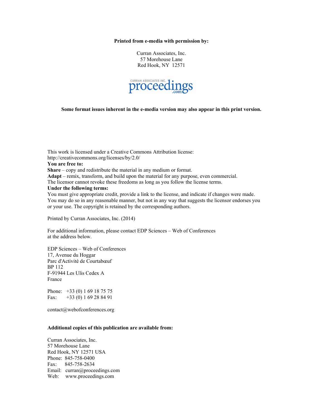#### **Printed from e-media with permission by:**

Curran Associates, Inc. 57 Morehouse Lane Red Hook, NY 12571



**Some format issues inherent in the e-media version may also appear in this print version.** 

This work is licensed under a Creative Commons Attribution license: http://creativecommons.org/licenses/by/2.0/ **You are free to: Share** – copy and redistribute the material in any medium or format. **Adapt** – remix, transform, and build upon the material for any purpose, even commercial. The licensor cannot revoke these freedoms as long as you follow the license terms. **Under the following terms:**  You must give appropriate credit, provide a link to the license, and indicate if changes were made. You may do so in any reasonable manner, but not in any way that suggests the licensor endorses you or your use. The copyright is retained by the corresponding authors.

Printed by Curran Associates, Inc. (2014)

For additional information, please contact EDP Sciences – Web of Conferences at the address below.

EDP Sciences – Web of Conferences 17, Avenue du Hoggar Parc d'Activité de Courtabœuf BP 112 F-91944 Les Ulis Cedex A France

Phone: +33 (0) 1 69 18 75 75 Fax: +33 (0) 1 69 28 84 91

contact@webofconferences.org

#### **Additional copies of this publication are available from:**

Curran Associates, Inc. 57 Morehouse Lane Red Hook, NY 12571 USA Phone: 845-758-0400 Fax: 845-758-2634 Email: curran@proceedings.com Web: www.proceedings.com